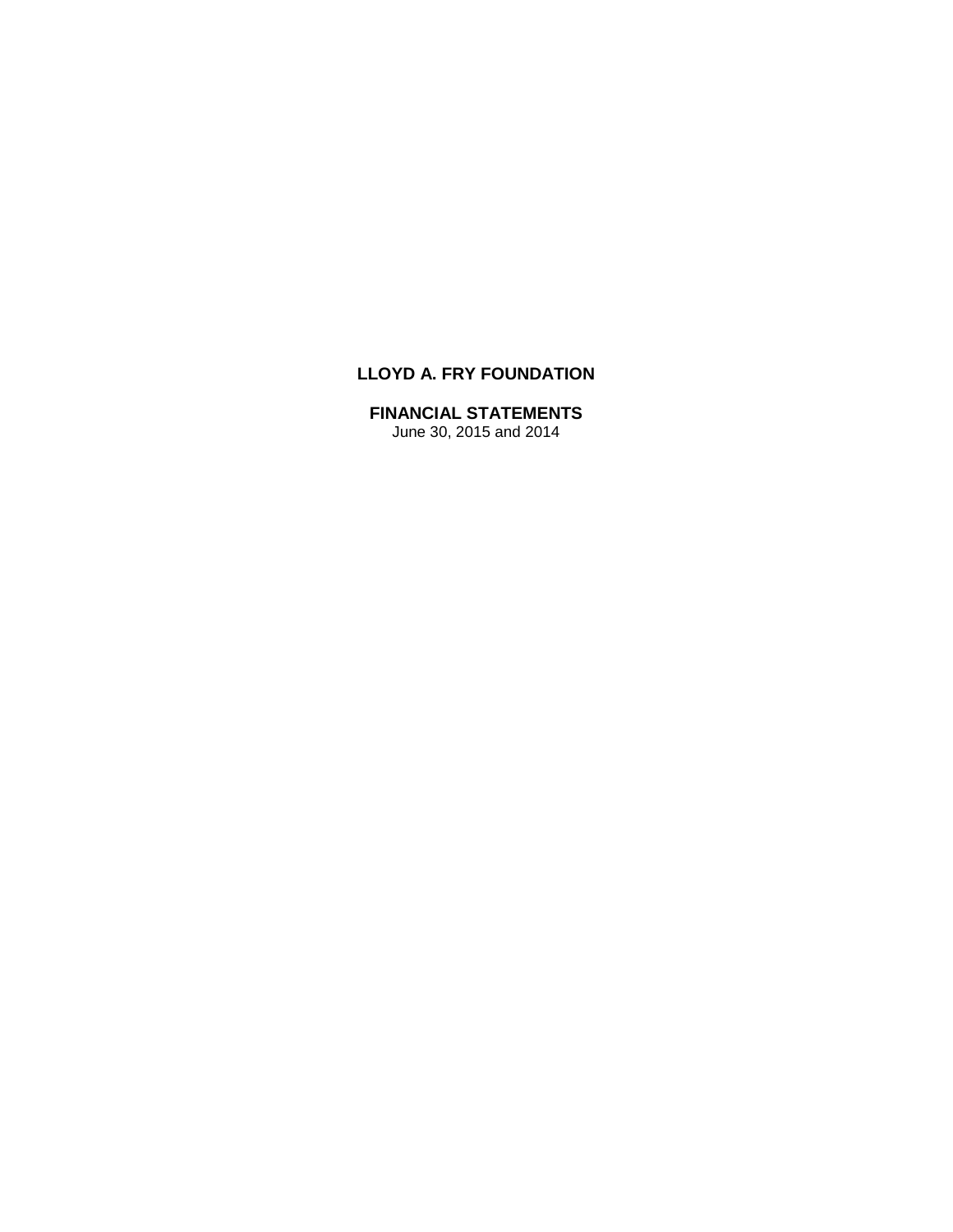# **LLOYD A. FRY FOUNDATION**

# **FINANCIAL STATEMENTS**

June 30, 2015 and 2014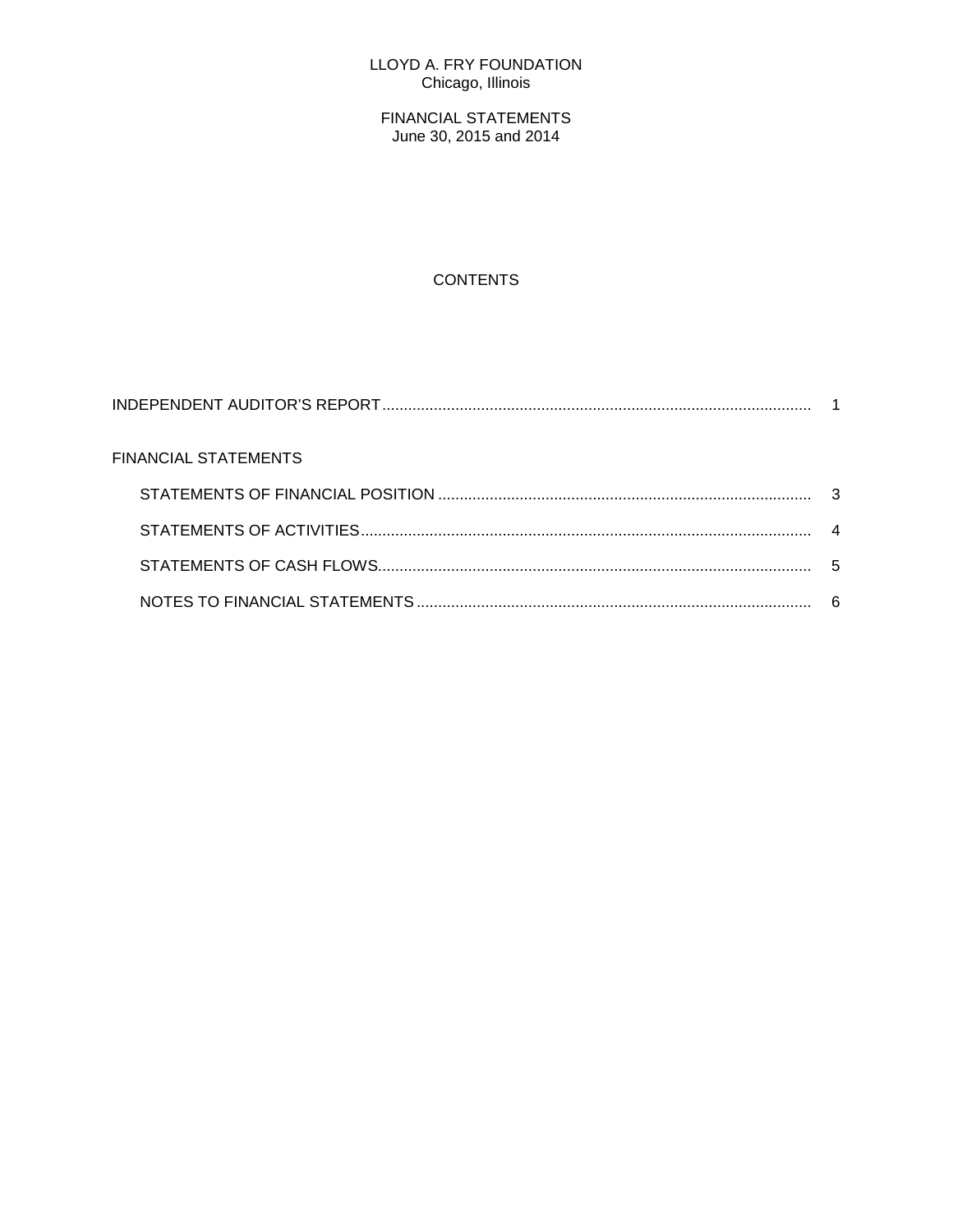# LLOYD A. FRY FOUNDATION Chicago, Illinois

FINANCIAL STATEMENTS June 30, 2015 and 2014

# **CONTENTS**

| FINANCIAL STATEMENTS |   |
|----------------------|---|
|                      |   |
|                      |   |
|                      | 5 |
|                      |   |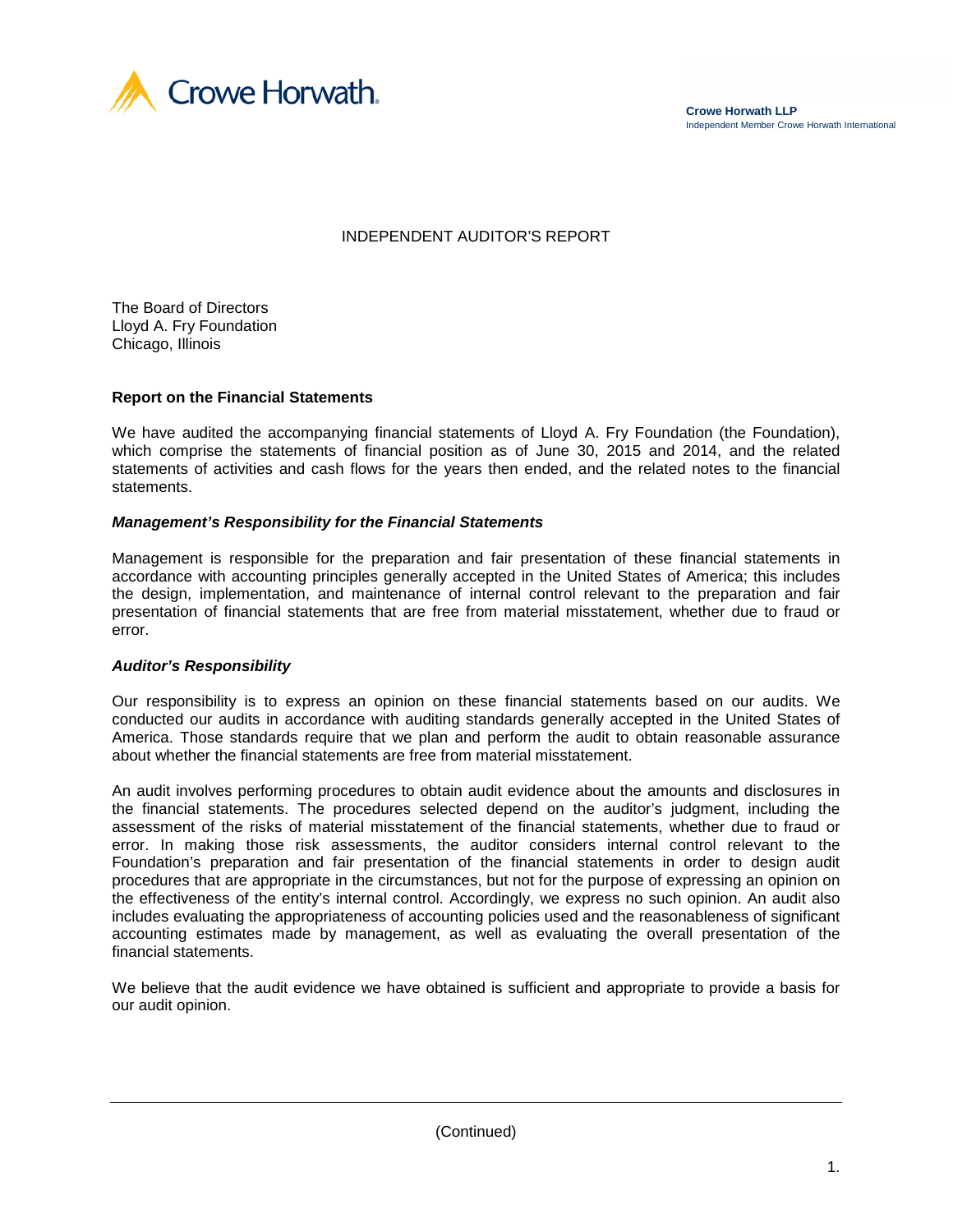

# INDEPENDENT AUDITOR'S REPORT

The Board of Directors Lloyd A. Fry Foundation Chicago, Illinois

#### **Report on the Financial Statements**

We have audited the accompanying financial statements of Lloyd A. Fry Foundation (the Foundation), which comprise the statements of financial position as of June 30, 2015 and 2014, and the related statements of activities and cash flows for the years then ended, and the related notes to the financial statements.

#### *Management's Responsibility for the Financial Statements*

Management is responsible for the preparation and fair presentation of these financial statements in accordance with accounting principles generally accepted in the United States of America; this includes the design, implementation, and maintenance of internal control relevant to the preparation and fair presentation of financial statements that are free from material misstatement, whether due to fraud or error.

#### *Auditor's Responsibility*

Our responsibility is to express an opinion on these financial statements based on our audits. We conducted our audits in accordance with auditing standards generally accepted in the United States of America. Those standards require that we plan and perform the audit to obtain reasonable assurance about whether the financial statements are free from material misstatement.

An audit involves performing procedures to obtain audit evidence about the amounts and disclosures in the financial statements. The procedures selected depend on the auditor's judgment, including the assessment of the risks of material misstatement of the financial statements, whether due to fraud or error. In making those risk assessments, the auditor considers internal control relevant to the Foundation's preparation and fair presentation of the financial statements in order to design audit procedures that are appropriate in the circumstances, but not for the purpose of expressing an opinion on the effectiveness of the entity's internal control. Accordingly, we express no such opinion. An audit also includes evaluating the appropriateness of accounting policies used and the reasonableness of significant accounting estimates made by management, as well as evaluating the overall presentation of the financial statements.

We believe that the audit evidence we have obtained is sufficient and appropriate to provide a basis for our audit opinion.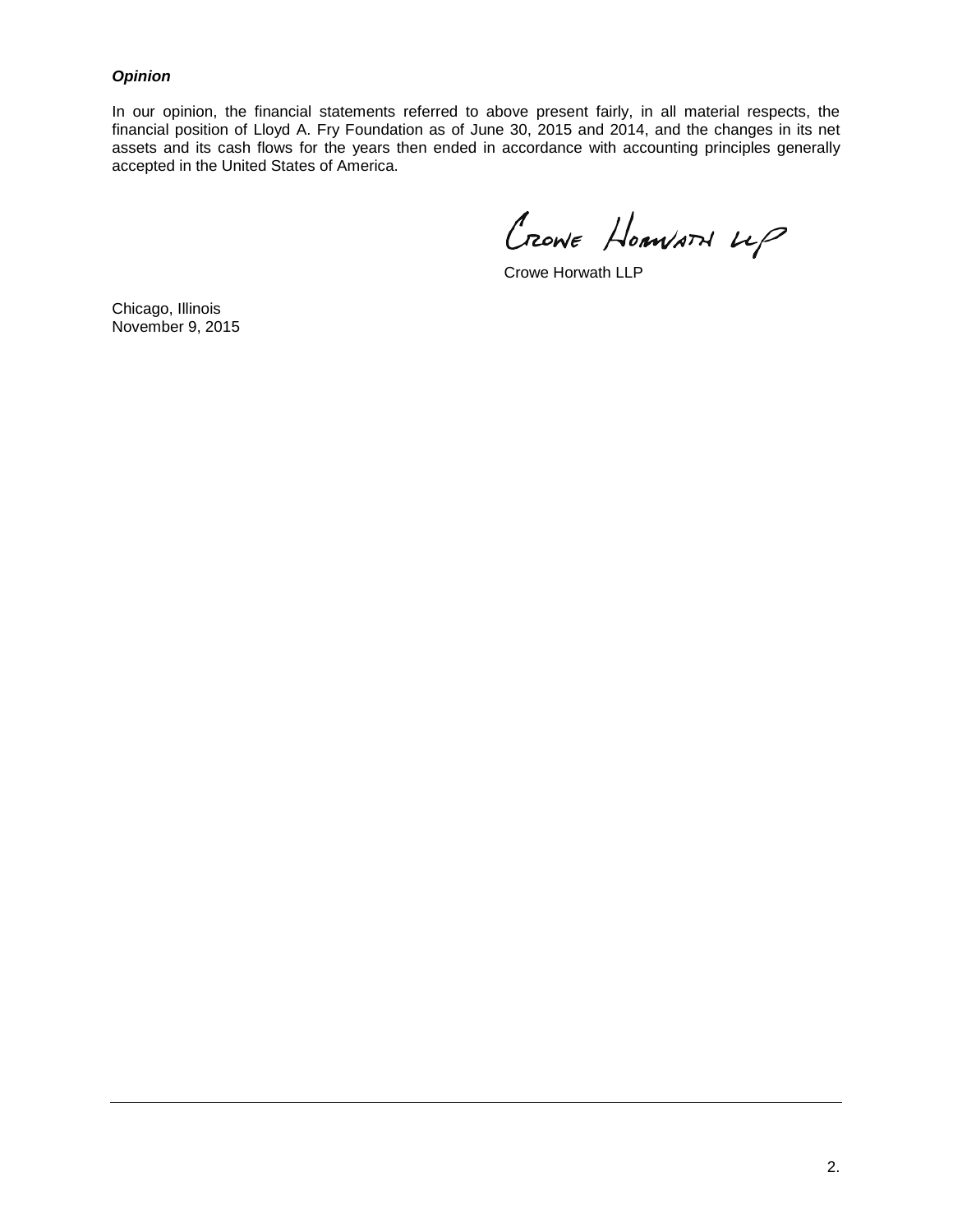## *Opinion*

In our opinion, the financial statements referred to above present fairly, in all material respects, the financial position of Lloyd A. Fry Foundation as of June 30, 2015 and 2014, and the changes in its net assets and its cash flows for the years then ended in accordance with accounting principles generally accepted in the United States of America.

Crowe Homvard up

Crowe Horwath LLP

Chicago, Illinois November 9, 2015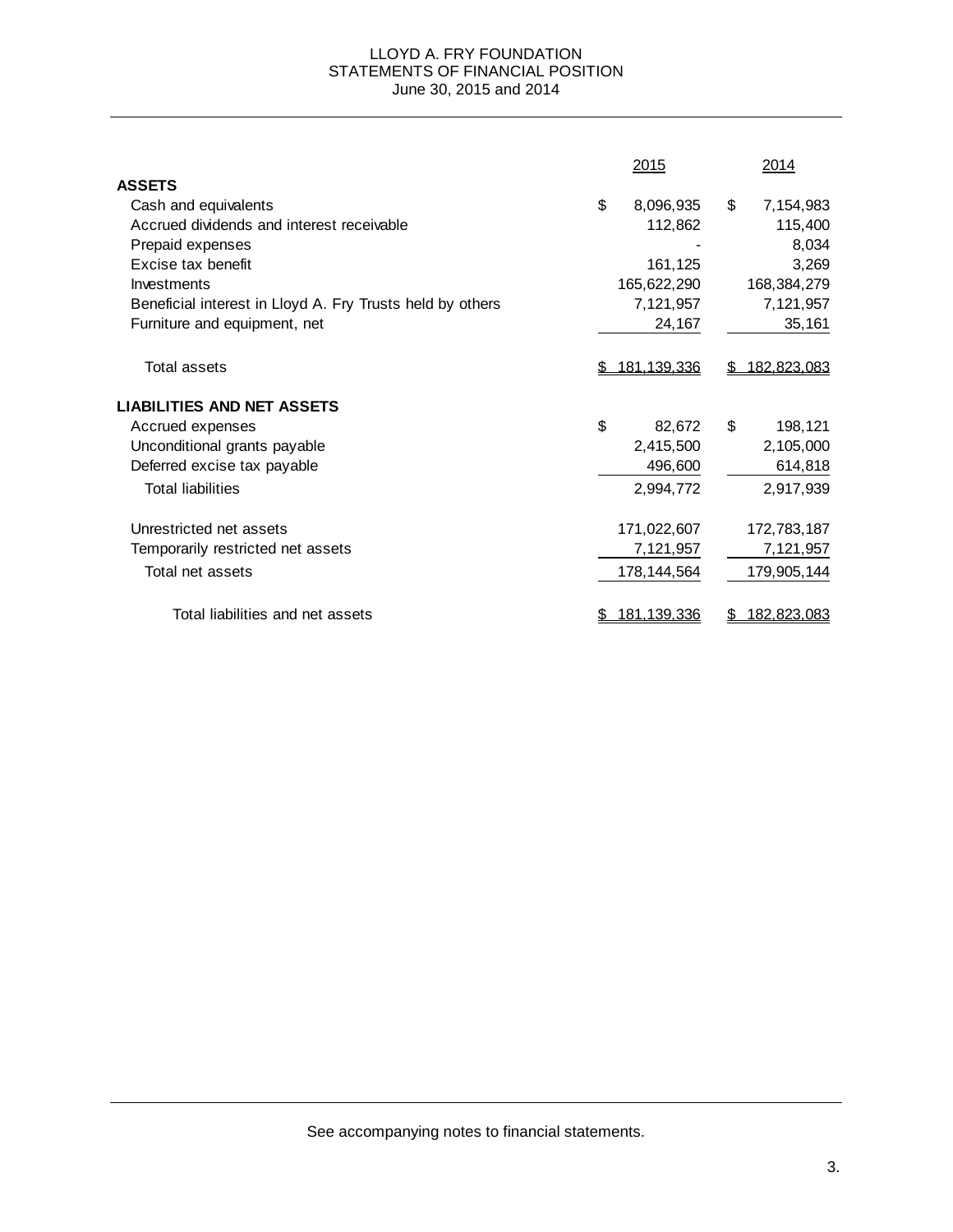### LLOYD A. FRY FOUNDATION STATEMENTS OF FINANCIAL POSITION June 30, 2015 and 2014

|                                                           | 2015               | 2014            |
|-----------------------------------------------------------|--------------------|-----------------|
| <b>ASSETS</b>                                             |                    |                 |
| Cash and equivalents                                      | \$<br>8,096,935    | \$<br>7,154,983 |
| Accrued dividends and interest receivable                 | 112,862            | 115,400         |
| Prepaid expenses                                          |                    | 8,034           |
| Excise tax benefit                                        | 161,125            | 3,269           |
| Investments                                               | 165,622,290        | 168,384,279     |
| Beneficial interest in Lloyd A. Fry Trusts held by others | 7,121,957          | 7,121,957       |
| Furniture and equipment, net                              | 24,167             | 35,161          |
| Total assets                                              | 181,139,336        | 182,823,083     |
| <b>LIABILITIES AND NET ASSETS</b>                         |                    |                 |
| Accrued expenses                                          | \$<br>82,672       | \$<br>198,121   |
| Unconditional grants payable                              | 2,415,500          | 2,105,000       |
| Deferred excise tax payable                               | 496,600            | 614,818         |
| <b>Total liabilities</b>                                  | 2,994,772          | 2,917,939       |
| Unrestricted net assets                                   | 171,022,607        | 172,783,187     |
| Temporarily restricted net assets                         | 7,121,957          | 7,121,957       |
| Total net assets                                          | 178, 144, 564      | 179,905,144     |
| Total liabilities and net assets                          | <u>181.139.336</u> | 182,823,083     |

See accompanying notes to financial statements.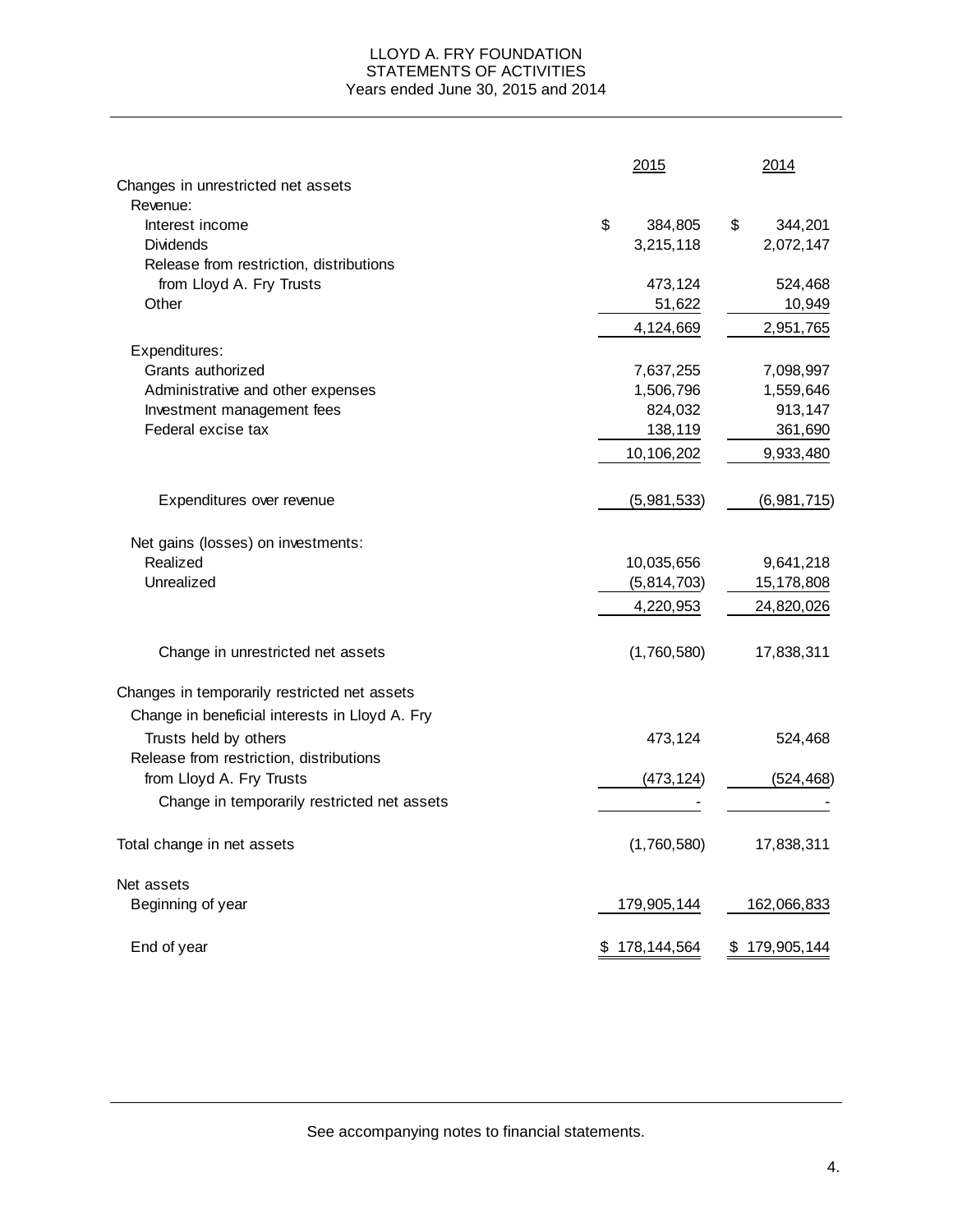#### LLOYD A. FRY FOUNDATION STATEMENTS OF ACTIVITIES Years ended June 30, 2015 and 2014

|                                                | 2015          | 2014          |
|------------------------------------------------|---------------|---------------|
| Changes in unrestricted net assets             |               |               |
| Revenue:                                       |               |               |
| Interest income                                | \$<br>384,805 | \$<br>344,201 |
| <b>Dividends</b>                               | 3,215,118     | 2,072,147     |
| Release from restriction, distributions        |               |               |
| from Lloyd A. Fry Trusts                       | 473,124       | 524,468       |
| Other                                          | 51,622        | 10,949        |
|                                                | 4,124,669     | 2,951,765     |
| Expenditures:                                  |               |               |
| Grants authorized                              | 7,637,255     | 7,098,997     |
| Administrative and other expenses              | 1,506,796     | 1,559,646     |
| Investment management fees                     | 824,032       | 913,147       |
| Federal excise tax                             | 138,119       | 361,690       |
|                                                | 10,106,202    | 9,933,480     |
|                                                |               |               |
| Expenditures over revenue                      | (5,981,533)   | (6,981,715)   |
| Net gains (losses) on investments:             |               |               |
| Realized                                       | 10,035,656    | 9,641,218     |
| Unrealized                                     | (5,814,703)   | 15,178,808    |
|                                                | 4,220,953     | 24,820,026    |
| Change in unrestricted net assets              | (1,760,580)   | 17,838,311    |
| Changes in temporarily restricted net assets   |               |               |
| Change in beneficial interests in Lloyd A. Fry |               |               |
| Trusts held by others                          | 473,124       | 524,468       |
| Release from restriction, distributions        |               |               |
| from Lloyd A. Fry Trusts                       | (473, 124)    | (524, 468)    |
| Change in temporarily restricted net assets    |               |               |
| Total change in net assets                     | (1,760,580)   | 17,838,311    |
|                                                |               |               |
| Net assets                                     |               |               |
| Beginning of year                              | 179,905,144   | 162,066,833   |
| End of year                                    | \$178,144,564 | \$179,905,144 |

See accompanying notes to financial statements.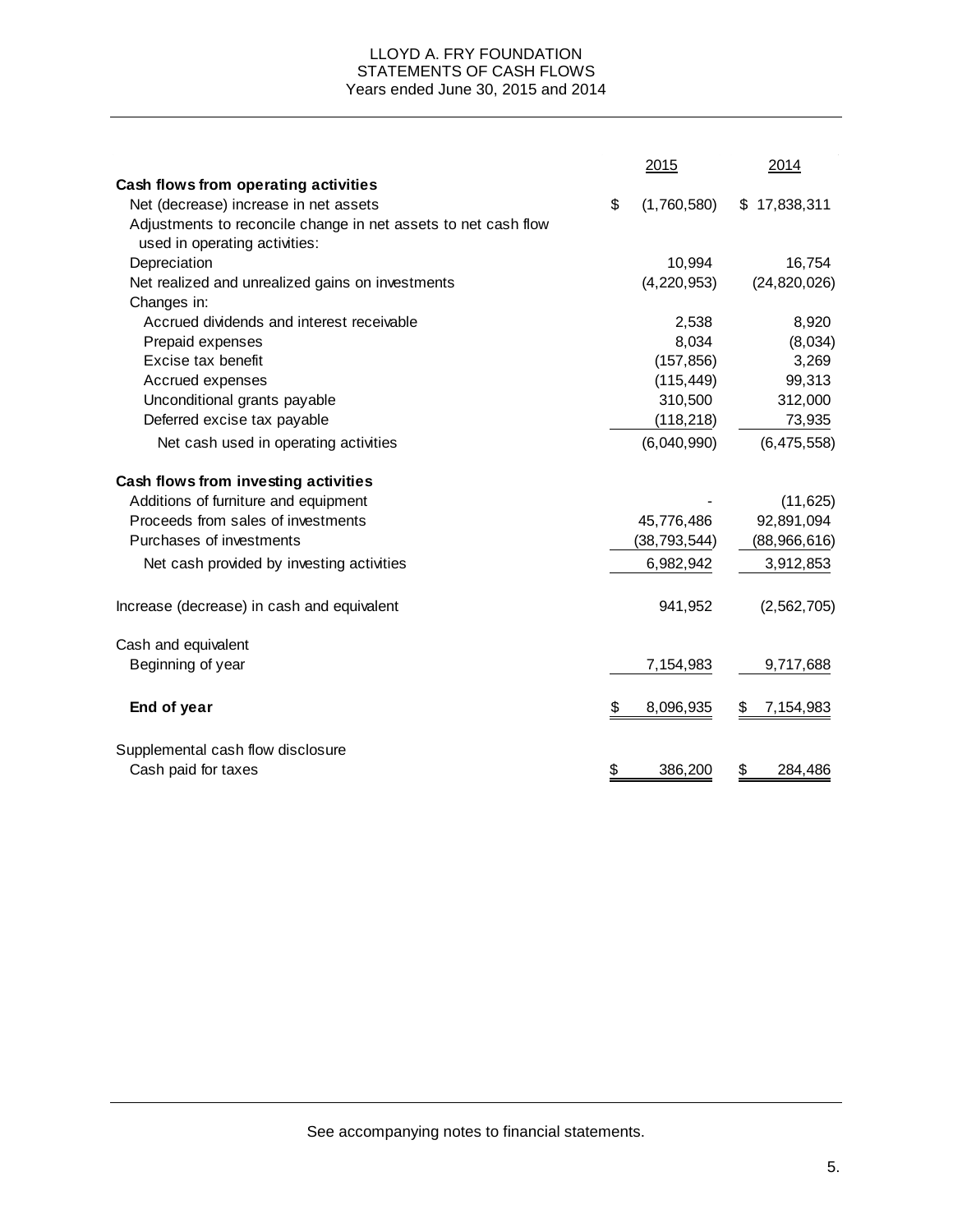### LLOYD A. FRY FOUNDATION STATEMENTS OF CASH FLOWS Years ended June 30, 2015 and 2014

|                                                                | 2015              | 2014            |
|----------------------------------------------------------------|-------------------|-----------------|
| Cash flows from operating activities                           |                   |                 |
| Net (decrease) increase in net assets                          | \$<br>(1,760,580) | \$17,838,311    |
| Adjustments to reconcile change in net assets to net cash flow |                   |                 |
| used in operating activities:                                  |                   |                 |
| Depreciation                                                   | 10,994            | 16,754          |
| Net realized and unrealized gains on investments               | (4, 220, 953)     | (24, 820, 026)  |
| Changes in:                                                    |                   |                 |
| Accrued dividends and interest receivable                      | 2,538             | 8,920           |
| Prepaid expenses                                               | 8,034             | (8,034)         |
| Excise tax benefit                                             | (157, 856)        | 3,269           |
| Accrued expenses                                               | (115, 449)        | 99,313          |
| Unconditional grants payable                                   | 310,500           | 312,000         |
| Deferred excise tax payable                                    | (118, 218)        | 73,935          |
| Net cash used in operating activities                          | (6,040,990)       | (6, 475, 558)   |
| Cash flows from investing activities                           |                   |                 |
| Additions of furniture and equipment                           |                   | (11, 625)       |
| Proceeds from sales of investments                             | 45,776,486        | 92,891,094      |
| Purchases of investments                                       | (38, 793, 544)    | (88,966,616)    |
| Net cash provided by investing activities                      | 6,982,942         | 3,912,853       |
| Increase (decrease) in cash and equivalent                     | 941,952           | (2, 562, 705)   |
| Cash and equivalent                                            |                   |                 |
| Beginning of year                                              | 7,154,983         | 9,717,688       |
| End of year                                                    | \$<br>8,096,935   | 7,154,983<br>\$ |
| Supplemental cash flow disclosure                              |                   |                 |
| Cash paid for taxes                                            | \$<br>386,200     | 284,486<br>\$   |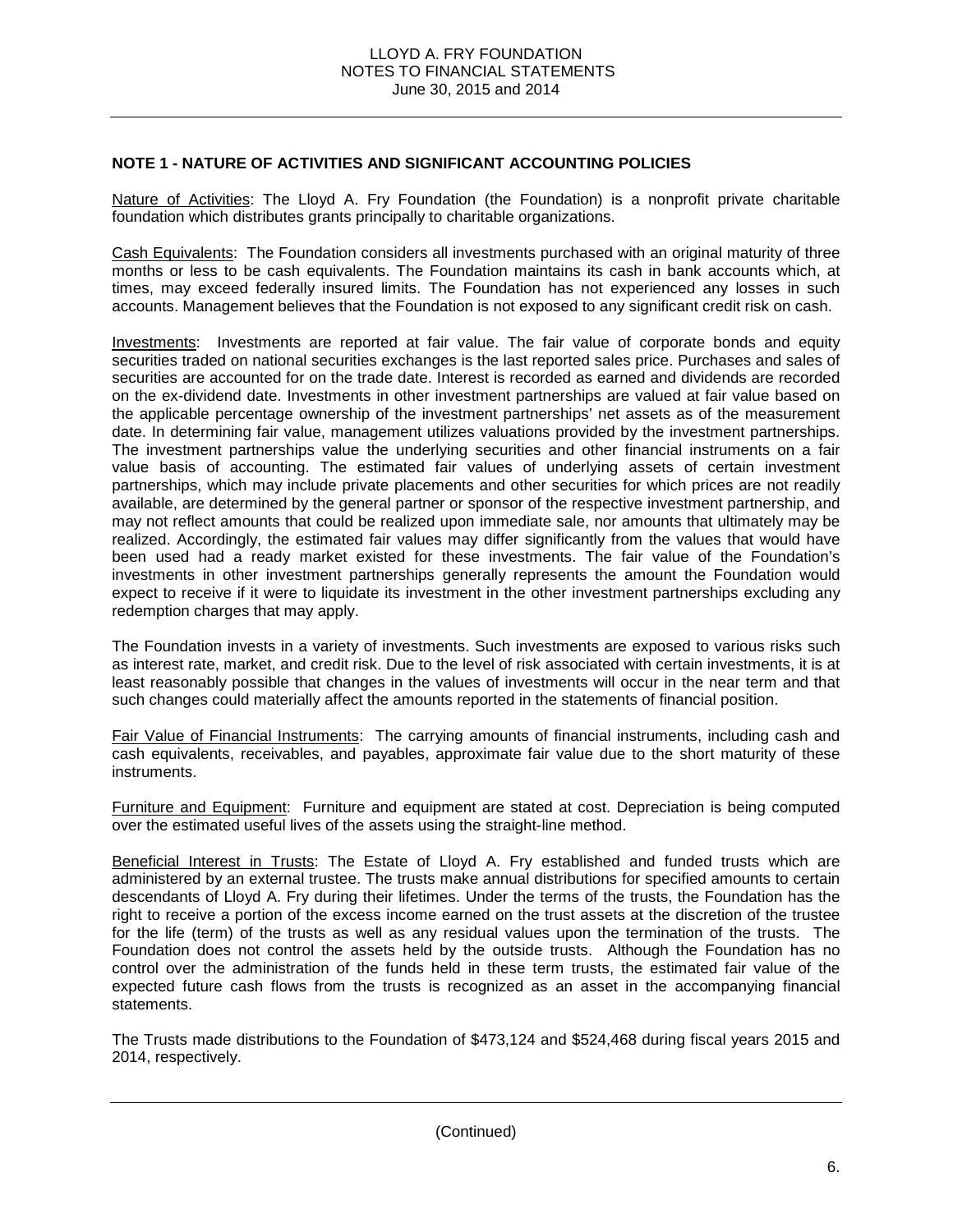## **NOTE 1 - NATURE OF ACTIVITIES AND SIGNIFICANT ACCOUNTING POLICIES**

Nature of Activities: The Lloyd A. Fry Foundation (the Foundation) is a nonprofit private charitable foundation which distributes grants principally to charitable organizations.

Cash Equivalents: The Foundation considers all investments purchased with an original maturity of three months or less to be cash equivalents. The Foundation maintains its cash in bank accounts which, at times, may exceed federally insured limits. The Foundation has not experienced any losses in such accounts. Management believes that the Foundation is not exposed to any significant credit risk on cash.

Investments: Investments are reported at fair value. The fair value of corporate bonds and equity securities traded on national securities exchanges is the last reported sales price. Purchases and sales of securities are accounted for on the trade date. Interest is recorded as earned and dividends are recorded on the ex-dividend date. Investments in other investment partnerships are valued at fair value based on the applicable percentage ownership of the investment partnerships' net assets as of the measurement date. In determining fair value, management utilizes valuations provided by the investment partnerships. The investment partnerships value the underlying securities and other financial instruments on a fair value basis of accounting. The estimated fair values of underlying assets of certain investment partnerships, which may include private placements and other securities for which prices are not readily available, are determined by the general partner or sponsor of the respective investment partnership, and may not reflect amounts that could be realized upon immediate sale, nor amounts that ultimately may be realized. Accordingly, the estimated fair values may differ significantly from the values that would have been used had a ready market existed for these investments. The fair value of the Foundation's investments in other investment partnerships generally represents the amount the Foundation would expect to receive if it were to liquidate its investment in the other investment partnerships excluding any redemption charges that may apply.

The Foundation invests in a variety of investments. Such investments are exposed to various risks such as interest rate, market, and credit risk. Due to the level of risk associated with certain investments, it is at least reasonably possible that changes in the values of investments will occur in the near term and that such changes could materially affect the amounts reported in the statements of financial position.

Fair Value of Financial Instruments: The carrying amounts of financial instruments, including cash and cash equivalents, receivables, and payables, approximate fair value due to the short maturity of these instruments.

Furniture and Equipment: Furniture and equipment are stated at cost. Depreciation is being computed over the estimated useful lives of the assets using the straight-line method.

Beneficial Interest in Trusts: The Estate of Lloyd A. Fry established and funded trusts which are administered by an external trustee. The trusts make annual distributions for specified amounts to certain descendants of Lloyd A. Fry during their lifetimes. Under the terms of the trusts, the Foundation has the right to receive a portion of the excess income earned on the trust assets at the discretion of the trustee for the life (term) of the trusts as well as any residual values upon the termination of the trusts. The Foundation does not control the assets held by the outside trusts. Although the Foundation has no control over the administration of the funds held in these term trusts, the estimated fair value of the expected future cash flows from the trusts is recognized as an asset in the accompanying financial statements.

The Trusts made distributions to the Foundation of \$473,124 and \$524,468 during fiscal years 2015 and 2014, respectively.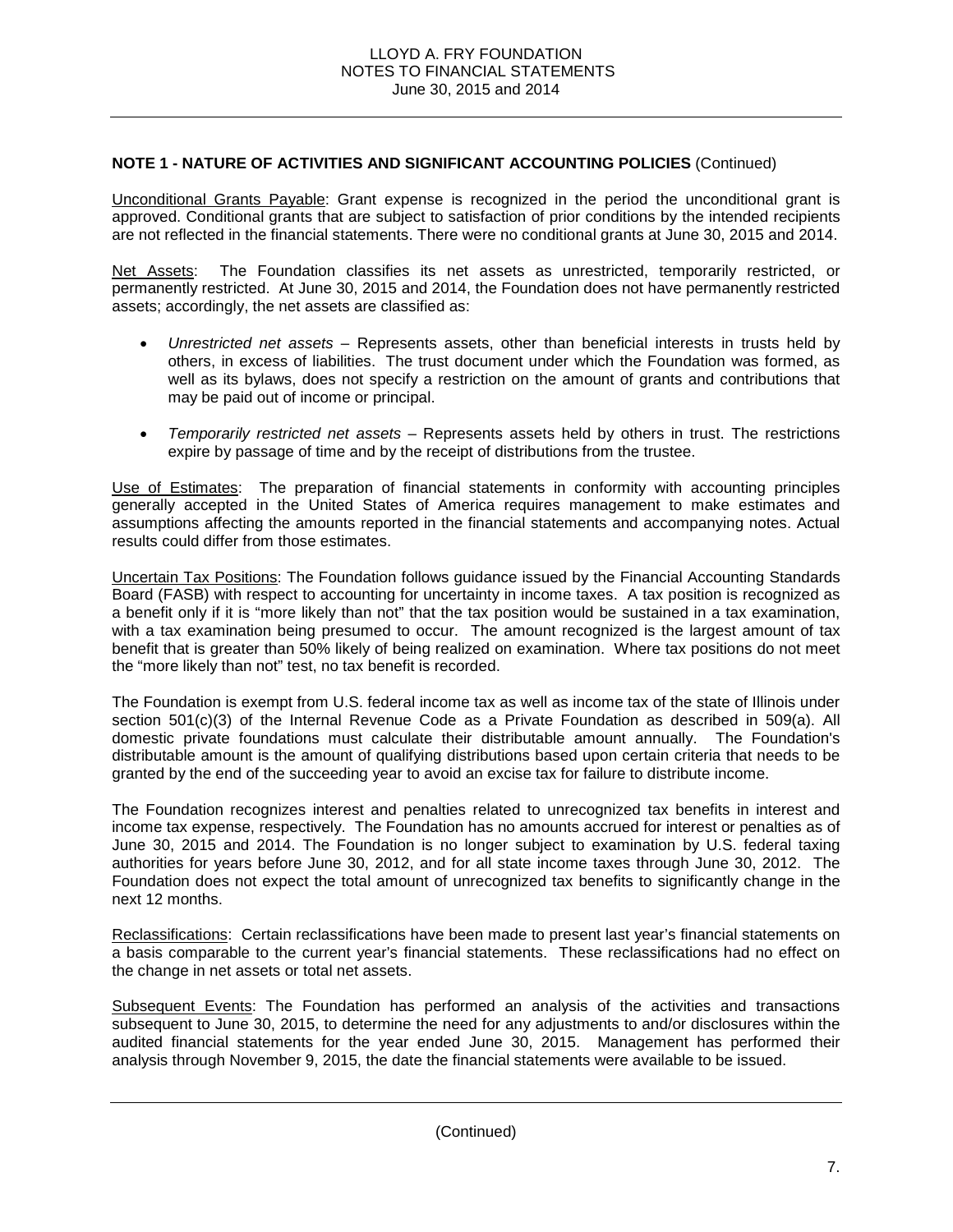# **NOTE 1 - NATURE OF ACTIVITIES AND SIGNIFICANT ACCOUNTING POLICIES** (Continued)

Unconditional Grants Payable: Grant expense is recognized in the period the unconditional grant is approved. Conditional grants that are subject to satisfaction of prior conditions by the intended recipients are not reflected in the financial statements. There were no conditional grants at June 30, 2015 and 2014.

Net Assets: The Foundation classifies its net assets as unrestricted, temporarily restricted, or permanently restricted. At June 30, 2015 and 2014, the Foundation does not have permanently restricted assets; accordingly, the net assets are classified as:

- *Unrestricted net assets* Represents assets, other than beneficial interests in trusts held by others, in excess of liabilities. The trust document under which the Foundation was formed, as well as its bylaws, does not specify a restriction on the amount of grants and contributions that may be paid out of income or principal.
- *Temporarily restricted net assets*  Represents assets held by others in trust. The restrictions expire by passage of time and by the receipt of distributions from the trustee.

Use of Estimates: The preparation of financial statements in conformity with accounting principles generally accepted in the United States of America requires management to make estimates and assumptions affecting the amounts reported in the financial statements and accompanying notes. Actual results could differ from those estimates.

Uncertain Tax Positions: The Foundation follows guidance issued by the Financial Accounting Standards Board (FASB) with respect to accounting for uncertainty in income taxes. A tax position is recognized as a benefit only if it is "more likely than not" that the tax position would be sustained in a tax examination, with a tax examination being presumed to occur. The amount recognized is the largest amount of tax benefit that is greater than 50% likely of being realized on examination. Where tax positions do not meet the "more likely than not" test, no tax benefit is recorded.

The Foundation is exempt from U.S. federal income tax as well as income tax of the state of Illinois under section 501(c)(3) of the Internal Revenue Code as a Private Foundation as described in 509(a). All domestic private foundations must calculate their distributable amount annually. The Foundation's distributable amount is the amount of qualifying distributions based upon certain criteria that needs to be granted by the end of the succeeding year to avoid an excise tax for failure to distribute income.

The Foundation recognizes interest and penalties related to unrecognized tax benefits in interest and income tax expense, respectively. The Foundation has no amounts accrued for interest or penalties as of June 30, 2015 and 2014. The Foundation is no longer subject to examination by U.S. federal taxing authorities for years before June 30, 2012, and for all state income taxes through June 30, 2012. The Foundation does not expect the total amount of unrecognized tax benefits to significantly change in the next 12 months.

Reclassifications: Certain reclassifications have been made to present last year's financial statements on a basis comparable to the current year's financial statements. These reclassifications had no effect on the change in net assets or total net assets.

Subsequent Events: The Foundation has performed an analysis of the activities and transactions subsequent to June 30, 2015, to determine the need for any adjustments to and/or disclosures within the audited financial statements for the year ended June 30, 2015. Management has performed their analysis through November 9, 2015, the date the financial statements were available to be issued.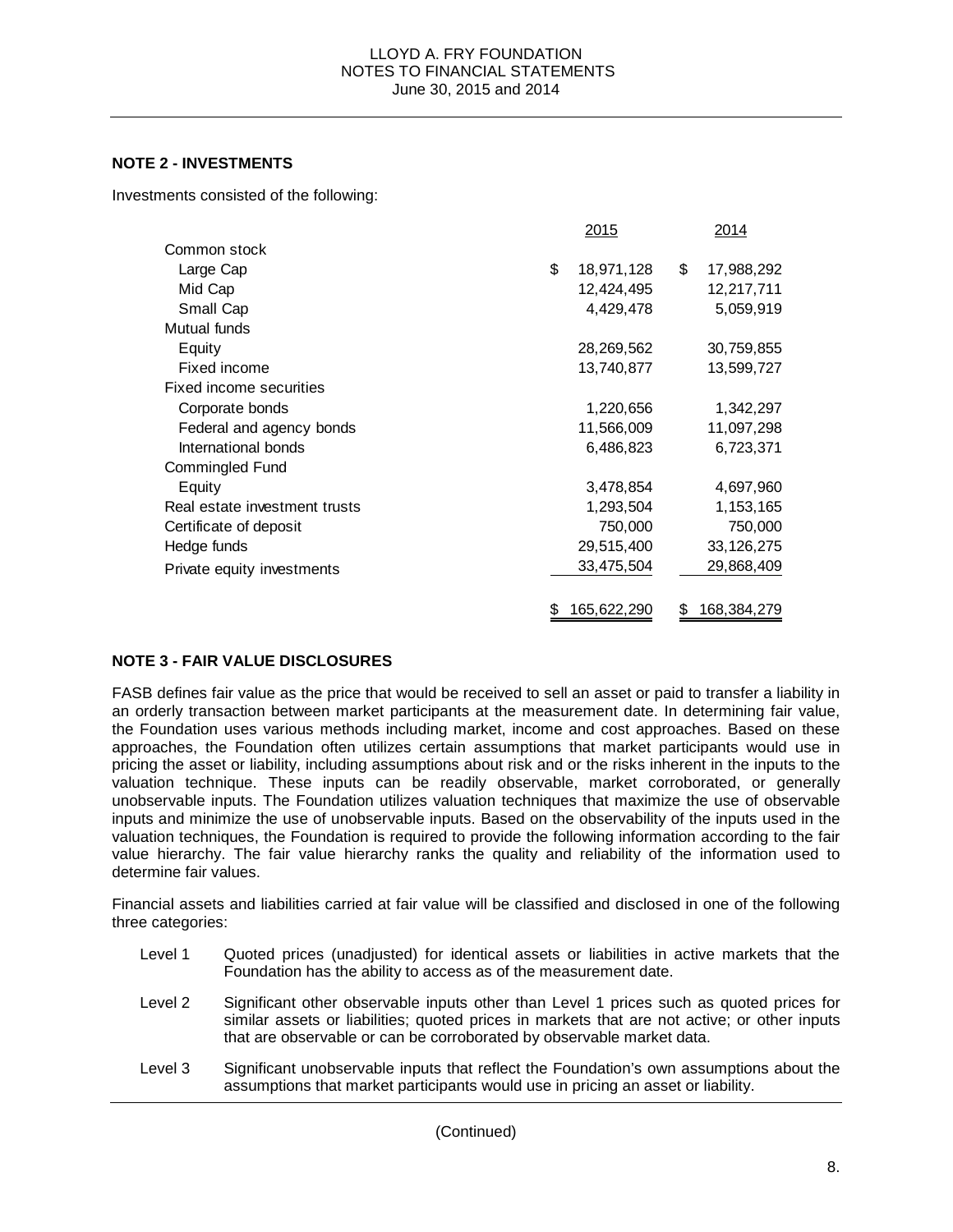# **NOTE 2 - INVESTMENTS**

Investments consisted of the following:

|                               | <u>2015</u>       |    | 2014         |
|-------------------------------|-------------------|----|--------------|
| Common stock                  |                   |    |              |
| Large Cap                     | \$<br>18,971,128  | \$ | 17,988,292   |
| Mid Cap                       | 12,424,495        |    | 12,217,711   |
| Small Cap                     | 4,429,478         |    | 5,059,919    |
| Mutual funds                  |                   |    |              |
| Equity                        | 28,269,562        |    | 30,759,855   |
| Fixed income                  | 13,740,877        |    | 13,599,727   |
| Fixed income securities       |                   |    |              |
| Corporate bonds               | 1,220,656         |    | 1,342,297    |
| Federal and agency bonds      | 11,566,009        |    | 11,097,298   |
| International bonds           | 6,486,823         |    | 6,723,371    |
| Commingled Fund               |                   |    |              |
| Equity                        | 3,478,854         |    | 4,697,960    |
| Real estate investment trusts | 1,293,504         |    | 1, 153, 165  |
| Certificate of deposit        | 750,000           |    | 750,000      |
| Hedge funds                   | 29,515,400        |    | 33, 126, 275 |
| Private equity investments    | 33,475,504        |    | 29,868,409   |
|                               |                   |    |              |
|                               | \$<br>165,622,290 | S  | 168,384,279  |

# **NOTE 3 - FAIR VALUE DISCLOSURES**

FASB defines fair value as the price that would be received to sell an asset or paid to transfer a liability in an orderly transaction between market participants at the measurement date. In determining fair value, the Foundation uses various methods including market, income and cost approaches. Based on these approaches, the Foundation often utilizes certain assumptions that market participants would use in pricing the asset or liability, including assumptions about risk and or the risks inherent in the inputs to the valuation technique. These inputs can be readily observable, market corroborated, or generally unobservable inputs. The Foundation utilizes valuation techniques that maximize the use of observable inputs and minimize the use of unobservable inputs. Based on the observability of the inputs used in the valuation techniques, the Foundation is required to provide the following information according to the fair value hierarchy. The fair value hierarchy ranks the quality and reliability of the information used to determine fair values.

Financial assets and liabilities carried at fair value will be classified and disclosed in one of the following three categories:

- Level 1 Quoted prices (unadjusted) for identical assets or liabilities in active markets that the Foundation has the ability to access as of the measurement date.
- Level 2 Significant other observable inputs other than Level 1 prices such as quoted prices for similar assets or liabilities; quoted prices in markets that are not active; or other inputs that are observable or can be corroborated by observable market data.
- Level 3 Significant unobservable inputs that reflect the Foundation's own assumptions about the assumptions that market participants would use in pricing an asset or liability.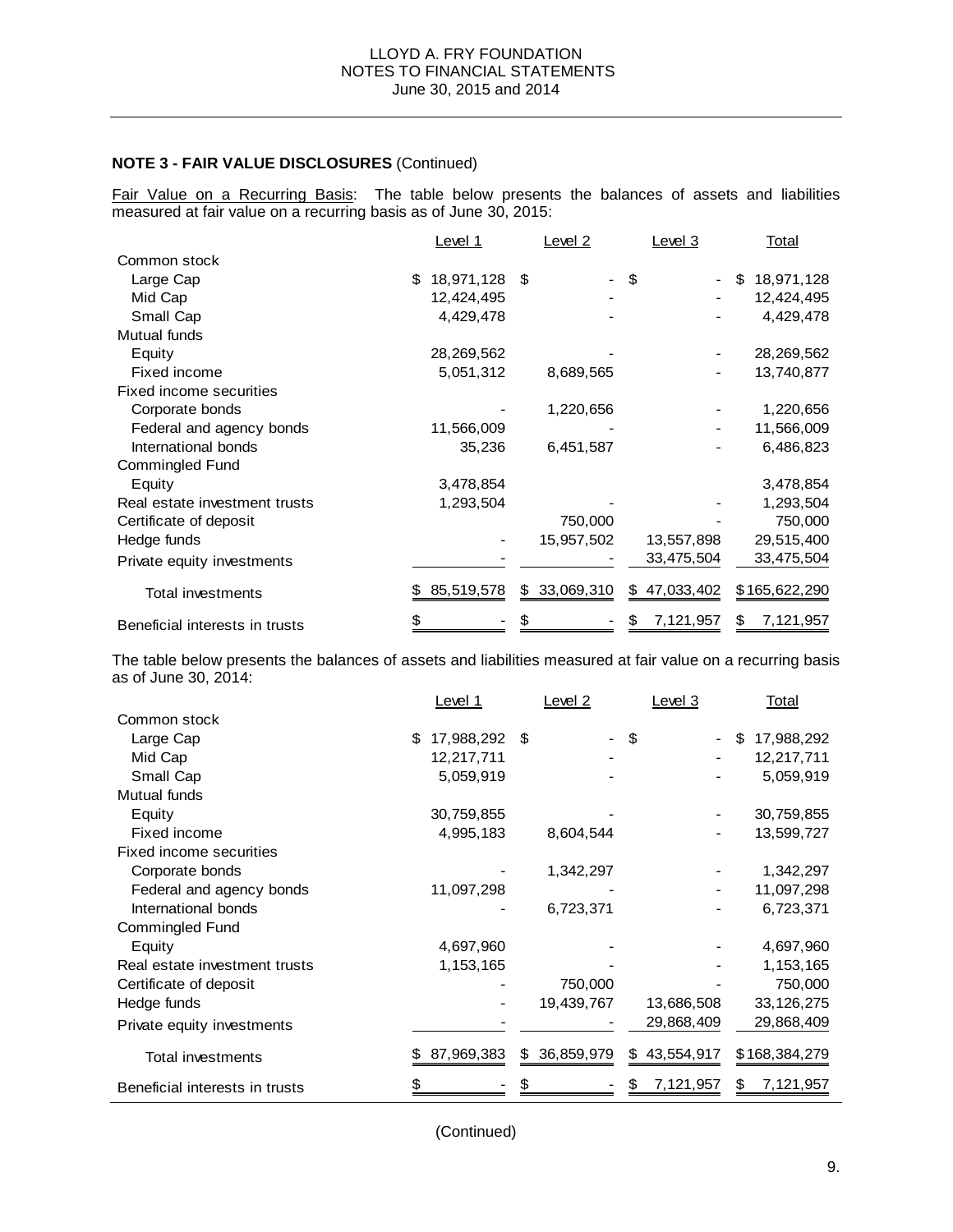Fair Value on a Recurring Basis: The table below presents the balances of assets and liabilities measured at fair value on a recurring basis as of June 30, 2015:

|                                | Level 1          |    | Level <sub>2</sub> |    | Level 3    | <b>Total</b>     |
|--------------------------------|------------------|----|--------------------|----|------------|------------------|
| Common stock                   |                  |    |                    |    |            |                  |
| Large Cap                      | \$<br>18,971,128 | \$ |                    | \$ |            | \$<br>18,971,128 |
| Mid Cap                        | 12,424,495       |    |                    |    |            | 12,424,495       |
| Small Cap                      | 4,429,478        |    |                    |    |            | 4,429,478        |
| Mutual funds                   |                  |    |                    |    |            |                  |
| Equity                         | 28,269,562       |    |                    |    |            | 28,269,562       |
| Fixed income                   | 5,051,312        |    | 8,689,565          |    |            | 13,740,877       |
| Fixed income securities        |                  |    |                    |    |            |                  |
| Corporate bonds                |                  |    | 1,220,656          |    |            | 1,220,656        |
| Federal and agency bonds       | 11,566,009       |    |                    |    |            | 11,566,009       |
| International bonds            | 35,236           |    | 6,451,587          |    |            | 6,486,823        |
| Commingled Fund                |                  |    |                    |    |            |                  |
| Equity                         | 3,478,854        |    |                    |    |            | 3,478,854        |
| Real estate investment trusts  | 1,293,504        |    |                    |    |            | 1,293,504        |
| Certificate of deposit         |                  |    | 750,000            |    |            | 750,000          |
| Hedge funds                    |                  |    | 15,957,502         |    | 13,557,898 | 29,515,400       |
| Private equity investments     |                  |    |                    |    | 33,475,504 | 33,475,504       |
| Total investments              | \$<br>85,519,578 | S. | 33,069,310         | S. | 47,033,402 | \$165,622,290    |
| Beneficial interests in trusts |                  |    |                    |    | 7,121,957  | \$<br>7,121,957  |

The table below presents the balances of assets and liabilities measured at fair value on a recurring basis as of June 30, 2014:

|                                | Level 1          |    | Level 2    |    | Level 3        |    |               | <u>Total</u> |  |
|--------------------------------|------------------|----|------------|----|----------------|----|---------------|--------------|--|
| Common stock                   |                  |    |            |    |                |    |               |              |  |
| Large Cap                      | \$<br>17,988,292 | \$ |            | \$ | $\blacksquare$ | S  | 17,988,292    |              |  |
| Mid Cap                        | 12,217,711       |    |            |    |                |    | 12,217,711    |              |  |
| Small Cap                      | 5,059,919        |    |            |    |                |    | 5,059,919     |              |  |
| Mutual funds                   |                  |    |            |    |                |    |               |              |  |
| Equity                         | 30,759,855       |    |            |    |                |    | 30,759,855    |              |  |
| Fixed income                   | 4,995,183        |    | 8,604,544  |    |                |    | 13,599,727    |              |  |
| Fixed income securities        |                  |    |            |    |                |    |               |              |  |
| Corporate bonds                |                  |    | 1,342,297  |    |                |    | 1,342,297     |              |  |
| Federal and agency bonds       | 11,097,298       |    |            |    |                |    | 11,097,298    |              |  |
| International bonds            |                  |    | 6,723,371  |    |                |    | 6,723,371     |              |  |
| <b>Commingled Fund</b>         |                  |    |            |    |                |    |               |              |  |
| Equity                         | 4,697,960        |    |            |    |                |    | 4,697,960     |              |  |
| Real estate investment trusts  | 1,153,165        |    |            |    |                |    | 1,153,165     |              |  |
| Certificate of deposit         |                  |    | 750,000    |    |                |    | 750,000       |              |  |
| Hedge funds                    |                  |    | 19,439,767 |    | 13,686,508     |    | 33, 126, 275  |              |  |
| Private equity investments     |                  |    |            |    | 29,868,409     |    | 29,868,409    |              |  |
| Total investments              | 87,969,383       | \$ | 36,859,979 | \$ | 43,554,917     |    | \$168,384,279 |              |  |
| Beneficial interests in trusts |                  |    |            |    | 7,121,957      | æ. | 7,121,957     |              |  |

(Continued)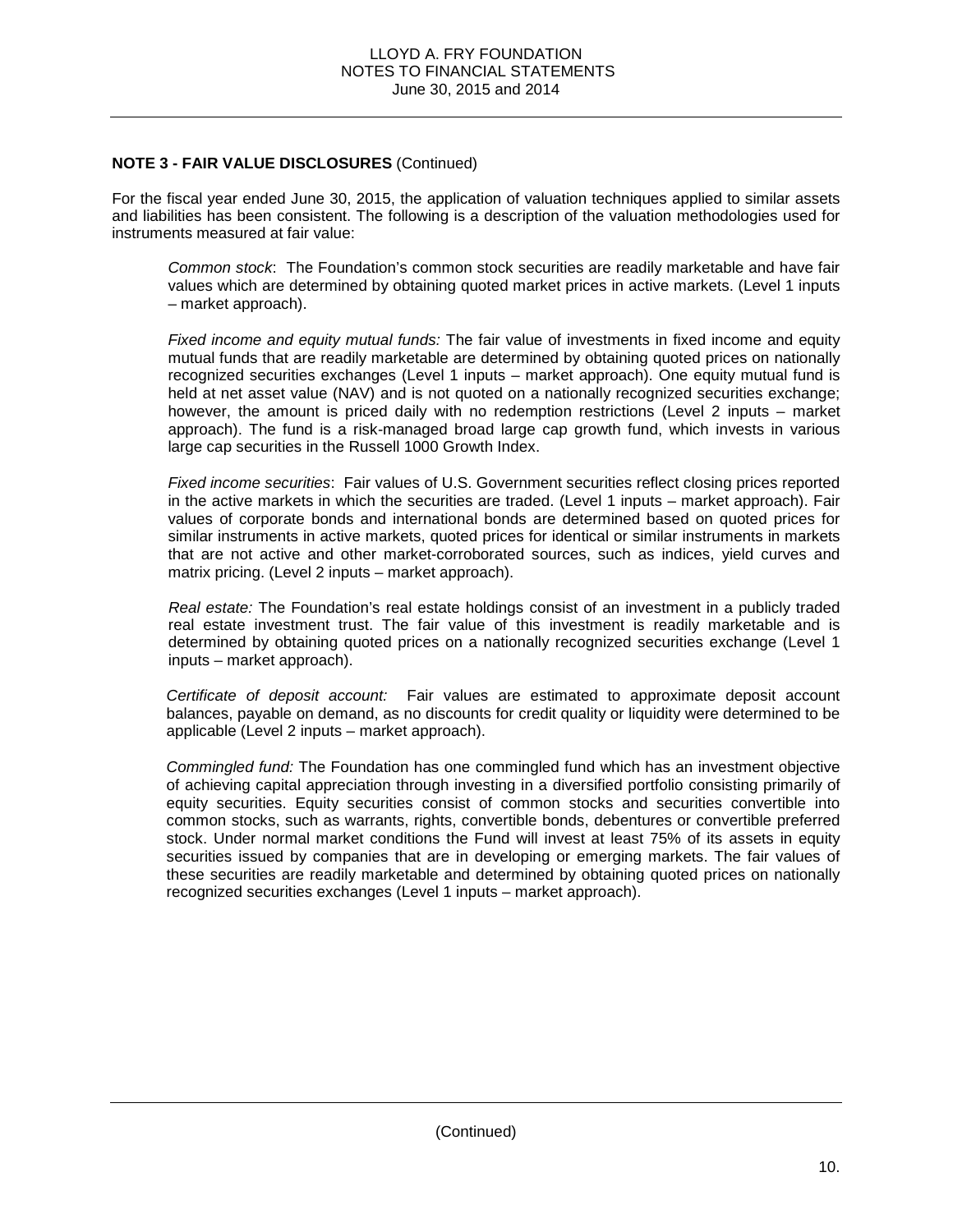For the fiscal year ended June 30, 2015, the application of valuation techniques applied to similar assets and liabilities has been consistent. The following is a description of the valuation methodologies used for instruments measured at fair value:

*Common stock*: The Foundation's common stock securities are readily marketable and have fair values which are determined by obtaining quoted market prices in active markets. (Level 1 inputs – market approach).

*Fixed income and equity mutual funds:* The fair value of investments in fixed income and equity mutual funds that are readily marketable are determined by obtaining quoted prices on nationally recognized securities exchanges (Level 1 inputs – market approach). One equity mutual fund is held at net asset value (NAV) and is not quoted on a nationally recognized securities exchange; however, the amount is priced daily with no redemption restrictions (Level 2 inputs – market approach). The fund is a risk-managed broad large cap growth fund, which invests in various large cap securities in the Russell 1000 Growth Index.

*Fixed income securities*: Fair values of U.S. Government securities reflect closing prices reported in the active markets in which the securities are traded. (Level 1 inputs – market approach). Fair values of corporate bonds and international bonds are determined based on quoted prices for similar instruments in active markets, quoted prices for identical or similar instruments in markets that are not active and other market-corroborated sources, such as indices, yield curves and matrix pricing. (Level 2 inputs – market approach).

*Real estate:* The Foundation's real estate holdings consist of an investment in a publicly traded real estate investment trust. The fair value of this investment is readily marketable and is determined by obtaining quoted prices on a nationally recognized securities exchange (Level 1 inputs – market approach).

*Certificate of deposit account:* Fair values are estimated to approximate deposit account balances, payable on demand, as no discounts for credit quality or liquidity were determined to be applicable (Level 2 inputs – market approach).

*Commingled fund:* The Foundation has one commingled fund which has an investment objective of achieving capital appreciation through investing in a diversified portfolio consisting primarily of equity securities. Equity securities consist of common stocks and securities convertible into common stocks, such as warrants, rights, convertible bonds, debentures or convertible preferred stock. Under normal market conditions the Fund will invest at least 75% of its assets in equity securities issued by companies that are in developing or emerging markets. The fair values of these securities are readily marketable and determined by obtaining quoted prices on nationally recognized securities exchanges (Level 1 inputs – market approach).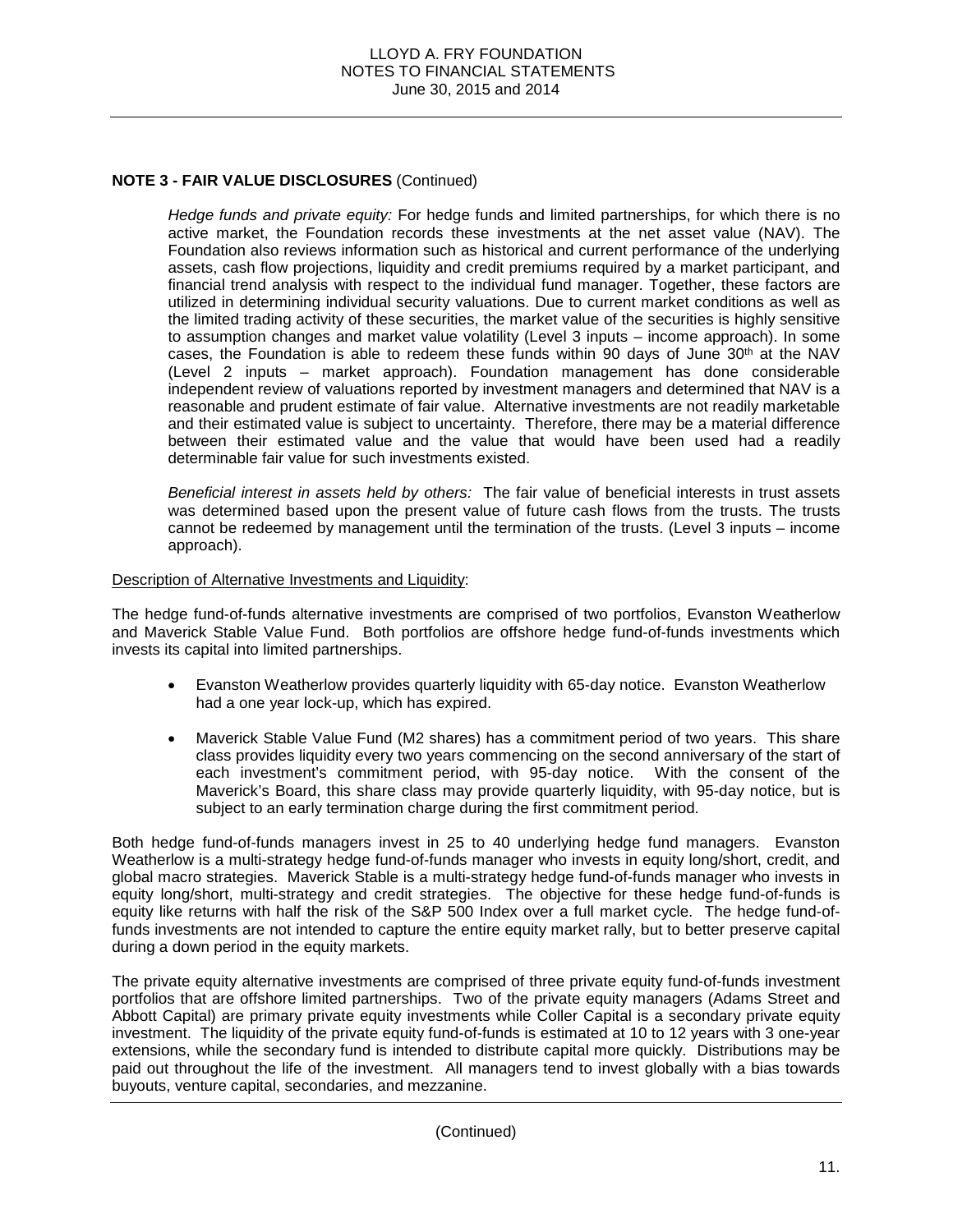*Hedge funds and private equity:* For hedge funds and limited partnerships, for which there is no active market, the Foundation records these investments at the net asset value (NAV). The Foundation also reviews information such as historical and current performance of the underlying assets, cash flow projections, liquidity and credit premiums required by a market participant, and financial trend analysis with respect to the individual fund manager. Together, these factors are utilized in determining individual security valuations. Due to current market conditions as well as the limited trading activity of these securities, the market value of the securities is highly sensitive to assumption changes and market value volatility (Level 3 inputs – income approach). In some cases, the Foundation is able to redeem these funds within 90 days of June  $30<sup>th</sup>$  at the NAV (Level 2 inputs – market approach). Foundation management has done considerable independent review of valuations reported by investment managers and determined that NAV is a reasonable and prudent estimate of fair value. Alternative investments are not readily marketable and their estimated value is subject to uncertainty. Therefore, there may be a material difference between their estimated value and the value that would have been used had a readily determinable fair value for such investments existed.

*Beneficial interest in assets held by others:* The fair value of beneficial interests in trust assets was determined based upon the present value of future cash flows from the trusts. The trusts cannot be redeemed by management until the termination of the trusts. (Level 3 inputs – income approach).

#### Description of Alternative Investments and Liquidity:

The hedge fund-of-funds alternative investments are comprised of two portfolios, Evanston Weatherlow and Maverick Stable Value Fund. Both portfolios are offshore hedge fund-of-funds investments which invests its capital into limited partnerships.

- Evanston Weatherlow provides quarterly liquidity with 65-day notice. Evanston Weatherlow had a one year lock-up, which has expired.
- Maverick Stable Value Fund (M2 shares) has a commitment period of two years. This share class provides liquidity every two years commencing on the second anniversary of the start of each investment's commitment period, with 95-day notice. With the consent of the Maverick's Board, this share class may provide quarterly liquidity, with 95-day notice, but is subject to an early termination charge during the first commitment period.

Both hedge fund-of-funds managers invest in 25 to 40 underlying hedge fund managers. Evanston Weatherlow is a multi-strategy hedge fund-of-funds manager who invests in equity long/short, credit, and global macro strategies. Maverick Stable is a multi-strategy hedge fund-of-funds manager who invests in equity long/short, multi-strategy and credit strategies. The objective for these hedge fund-of-funds is equity like returns with half the risk of the S&P 500 Index over a full market cycle. The hedge fund-offunds investments are not intended to capture the entire equity market rally, but to better preserve capital during a down period in the equity markets.

The private equity alternative investments are comprised of three private equity fund-of-funds investment portfolios that are offshore limited partnerships. Two of the private equity managers (Adams Street and Abbott Capital) are primary private equity investments while Coller Capital is a secondary private equity investment. The liquidity of the private equity fund-of-funds is estimated at 10 to 12 years with 3 one-year extensions, while the secondary fund is intended to distribute capital more quickly. Distributions may be paid out throughout the life of the investment. All managers tend to invest globally with a bias towards buyouts, venture capital, secondaries, and mezzanine.

(Continued)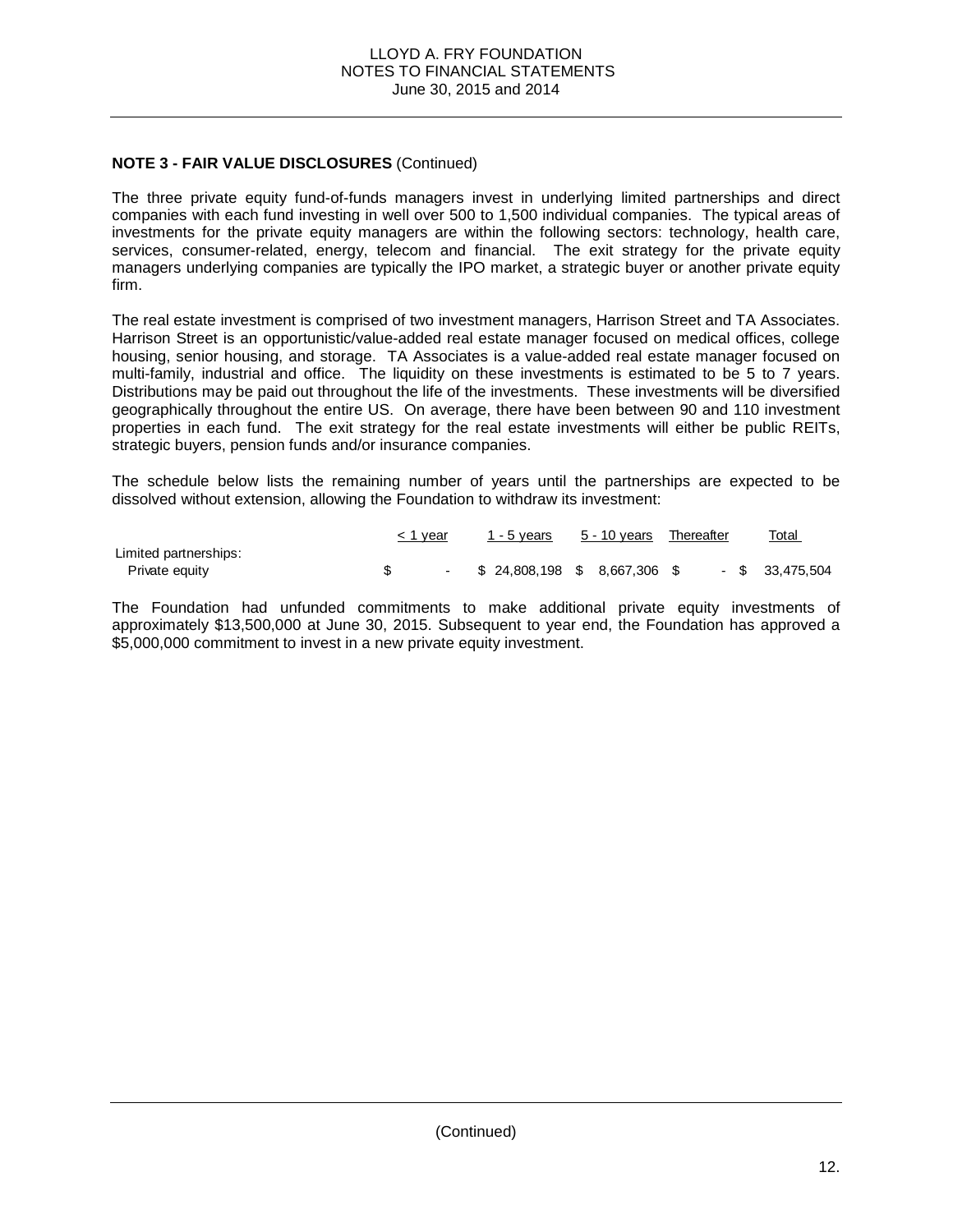The three private equity fund-of-funds managers invest in underlying limited partnerships and direct companies with each fund investing in well over 500 to 1,500 individual companies. The typical areas of investments for the private equity managers are within the following sectors: technology, health care, services, consumer-related, energy, telecom and financial. The exit strategy for the private equity managers underlying companies are typically the IPO market, a strategic buyer or another private equity firm.

The real estate investment is comprised of two investment managers, Harrison Street and TA Associates. Harrison Street is an opportunistic/value-added real estate manager focused on medical offices, college housing, senior housing, and storage. TA Associates is a value-added real estate manager focused on multi-family, industrial and office. The liquidity on these investments is estimated to be 5 to 7 years. Distributions may be paid out throughout the life of the investments. These investments will be diversified geographically throughout the entire US. On average, there have been between 90 and 110 investment properties in each fund. The exit strategy for the real estate investments will either be public REITs, strategic buyers, pension funds and/or insurance companies.

The schedule below lists the remaining number of years until the partnerships are expected to be dissolved without extension, allowing the Foundation to withdraw its investment:

|                       | < 1 year | 1 - 5 years 5 - 10 years Thereafter |  |  | <b>Total</b>      |
|-----------------------|----------|-------------------------------------|--|--|-------------------|
| Limited partnerships: |          |                                     |  |  |                   |
| Private equity        |          | $-$ \$ 24,808,198 \$ 8,667,306 \$   |  |  | $-$ \$ 33.475.504 |

The Foundation had unfunded commitments to make additional private equity investments of approximately \$13,500,000 at June 30, 2015. Subsequent to year end, the Foundation has approved a \$5,000,000 commitment to invest in a new private equity investment.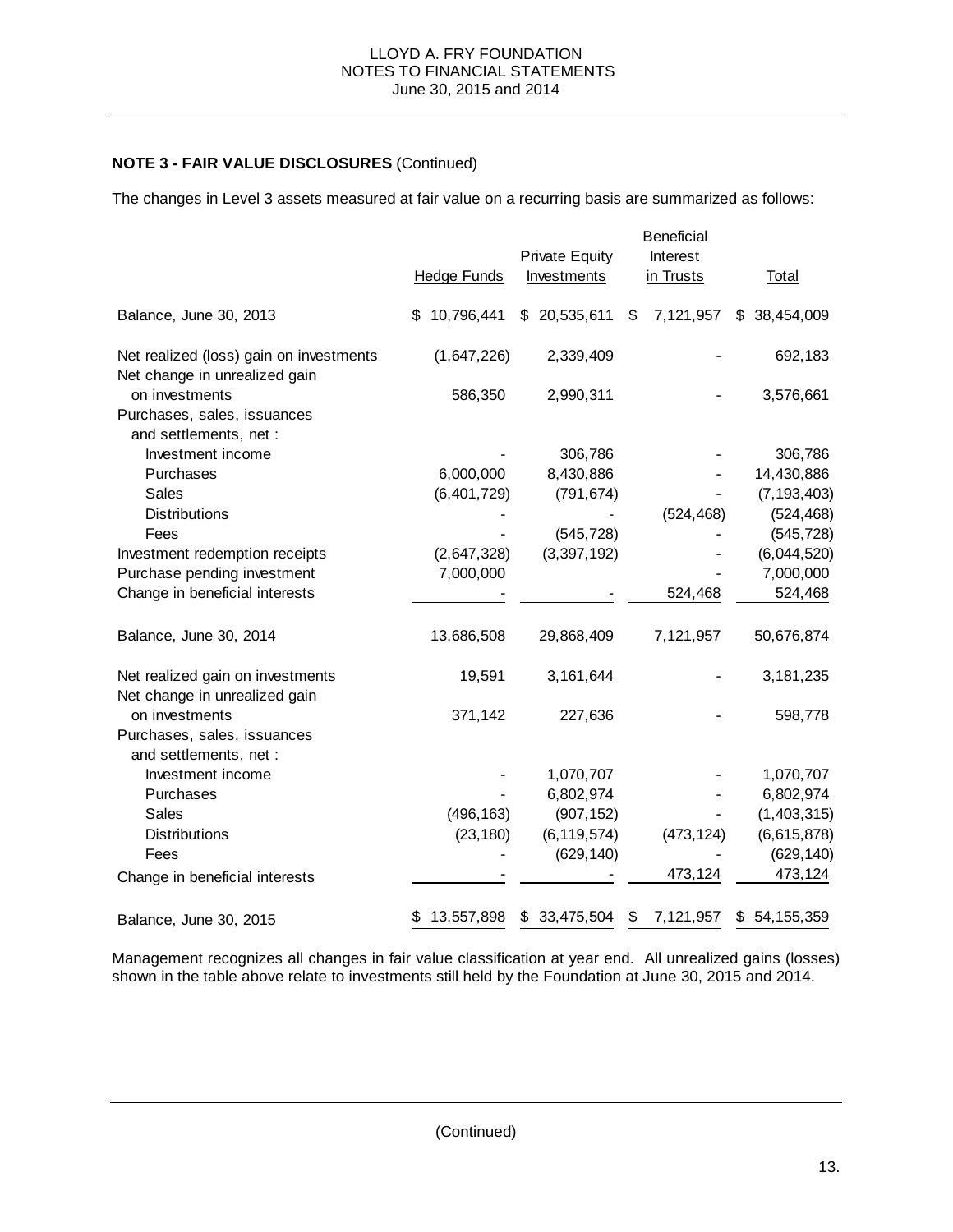The changes in Level 3 assets measured at fair value on a recurring basis are summarized as follows:

|                                                                          | <b>Hedge Funds</b> | <b>Private Equity</b><br><b>Investments</b> | <b>Beneficial</b><br>Interest<br>in Trusts | <b>Total</b>  |
|--------------------------------------------------------------------------|--------------------|---------------------------------------------|--------------------------------------------|---------------|
| Balance, June 30, 2013                                                   | \$10,796,441       | \$20,535,611                                | 7,121,957<br>\$                            | \$38,454,009  |
| Net realized (loss) gain on investments<br>Net change in unrealized gain | (1,647,226)        | 2,339,409                                   |                                            | 692,183       |
| on investments<br>Purchases, sales, issuances<br>and settlements, net :  | 586,350            | 2,990,311                                   |                                            | 3,576,661     |
| Investment income                                                        |                    | 306,786                                     |                                            | 306,786       |
| Purchases                                                                | 6,000,000          | 8,430,886                                   |                                            | 14,430,886    |
| Sales                                                                    | (6,401,729)        | (791, 674)                                  |                                            | (7, 193, 403) |
| <b>Distributions</b>                                                     |                    |                                             | (524, 468)                                 | (524, 468)    |
| Fees                                                                     |                    | (545, 728)                                  |                                            | (545, 728)    |
| Investment redemption receipts                                           | (2,647,328)        | (3, 397, 192)                               |                                            | (6,044,520)   |
| Purchase pending investment                                              | 7,000,000          |                                             |                                            | 7,000,000     |
| Change in beneficial interests                                           |                    |                                             | 524,468                                    | 524,468       |
| Balance, June 30, 2014                                                   | 13,686,508         | 29,868,409                                  | 7,121,957                                  | 50,676,874    |
| Net realized gain on investments<br>Net change in unrealized gain        | 19,591             | 3,161,644                                   |                                            | 3,181,235     |
| on investments                                                           | 371,142            | 227,636                                     |                                            | 598,778       |
| Purchases, sales, issuances<br>and settlements, net :                    |                    |                                             |                                            |               |
| Investment income                                                        |                    | 1,070,707                                   |                                            | 1,070,707     |
| Purchases                                                                |                    | 6,802,974                                   |                                            | 6,802,974     |
| Sales                                                                    | (496, 163)         | (907, 152)                                  |                                            | (1,403,315)   |
| <b>Distributions</b>                                                     | (23, 180)          | (6, 119, 574)                               | (473, 124)                                 | (6,615,878)   |
| Fees                                                                     |                    | (629, 140)                                  |                                            | (629, 140)    |
| Change in beneficial interests                                           |                    |                                             | 473,124                                    | 473,124       |
| Balance, June 30, 2015                                                   | 13,557,898<br>\$   | \$33,475,504                                | 7,121,957<br>\$                            | \$54,155,359  |
|                                                                          |                    |                                             |                                            |               |

Management recognizes all changes in fair value classification at year end. All unrealized gains (losses) shown in the table above relate to investments still held by the Foundation at June 30, 2015 and 2014.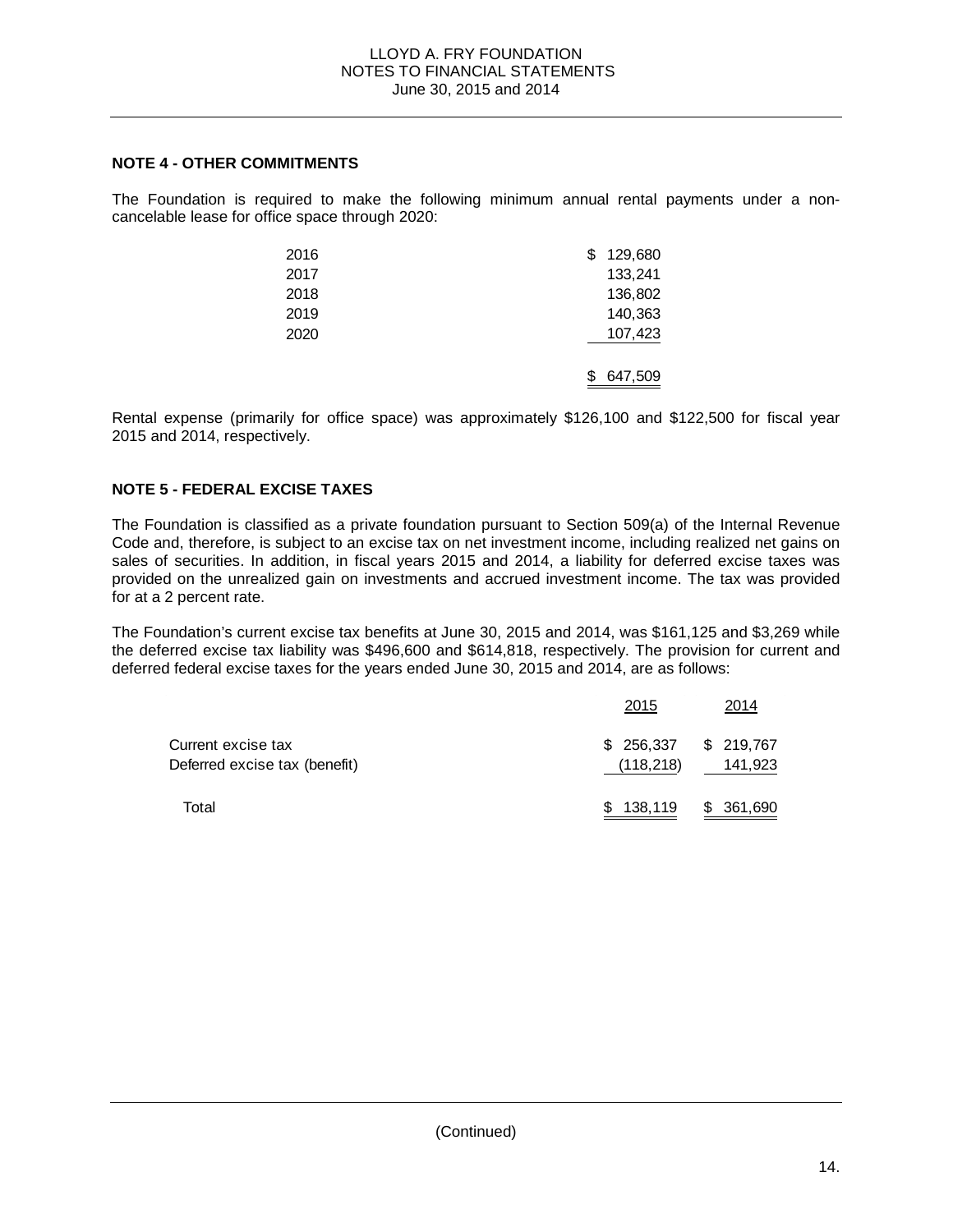## **NOTE 4 - OTHER COMMITMENTS**

The Foundation is required to make the following minimum annual rental payments under a noncancelable lease for office space through 2020:

| 2016 | 129,680 |
|------|---------|
| 2017 | 133,241 |
| 2018 | 136,802 |
| 2019 | 140,363 |
| 2020 | 107,423 |
|      |         |
|      | 647,509 |

Rental expense (primarily for office space) was approximately \$126,100 and \$122,500 for fiscal year 2015 and 2014, respectively.

# **NOTE 5 - FEDERAL EXCISE TAXES**

The Foundation is classified as a private foundation pursuant to Section 509(a) of the Internal Revenue Code and, therefore, is subject to an excise tax on net investment income, including realized net gains on sales of securities. In addition, in fiscal years 2015 and 2014, a liability for deferred excise taxes was provided on the unrealized gain on investments and accrued investment income. The tax was provided for at a 2 percent rate.

The Foundation's current excise tax benefits at June 30, 2015 and 2014, was \$161,125 and \$3,269 while the deferred excise tax liability was \$496,600 and \$614,818, respectively. The provision for current and deferred federal excise taxes for the years ended June 30, 2015 and 2014, are as follows:

|                                                     | 2015                                | 2014       |
|-----------------------------------------------------|-------------------------------------|------------|
| Current excise tax<br>Deferred excise tax (benefit) | $$256,337$ $$219,767$<br>(118, 218) | 141,923    |
| Total                                               | \$138,119                           | \$ 361,690 |